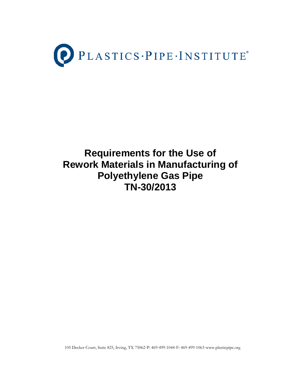

# **Requirements for the Use of Rework Materials in Manufacturing of Polyethylene Gas Pipe TN-30/2013**

105 Decker Court, Suite 825, Irving, TX 75062·P: 469-499-1044·F: 469-499-1063·www.plasticpipe.org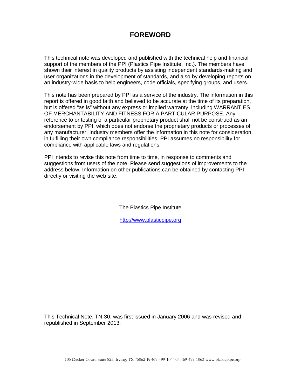# **FOREWORD**

This technical note was developed and published with the technical help and financial support of the members of the PPI (Plastics Pipe Institute, Inc.). The members have shown their interest in quality products by assisting independent standards-making and user organizations in the development of standards, and also by developing reports on an industry-wide basis to help engineers, code officials, specifying groups, and users.

This note has been prepared by PPI as a service of the industry. The information in this report is offered in good faith and believed to be accurate at the time of its preparation, but is offered "as is" without any express or implied warranty, including WARRANTIES OF MERCHANTABILITY AND FITNESS FOR A PARTICULAR PURPOSE. Any reference to or testing of a particular proprietary product shall not be construed as an endorsement by PPI, which does not endorse the proprietary products or processes of any manufacturer. Industry members offer the information in this note for consideration in fulfilling their own compliance responsibilities. PPI assumes no responsibility for compliance with applicable laws and regulations.

PPI intends to revise this note from time to time, in response to comments and suggestions from users of the note. Please send suggestions of improvements to the address below. Information on other publications can be obtained by contacting PPI directly or visiting the web site.

The Plastics Pipe Institute

http:/[/www.plasticpipe.org](http://www.plasticpipe.org/)

This Technical Note, TN-30, was first issued in January 2006 and was revised and republished in September 2013.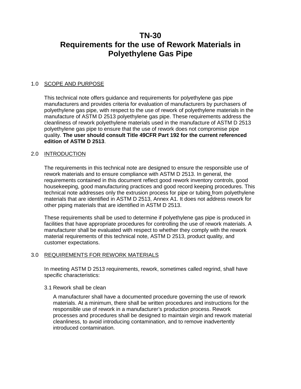# **TN-30 Requirements for the use of Rework Materials in Polyethylene Gas Pipe**

# 1.0 SCOPE AND PURPOSE

This technical note offers guidance and requirements for polyethylene gas pipe manufacturers and provides criteria for evaluation of manufacturers by purchasers of polyethylene gas pipe, with respect to the use of rework of polyethylene materials in the manufacture of ASTM D 2513 polyethylene gas pipe. These requirements address the cleanliness of rework polyethylene materials used in the manufacture of ASTM D 2513 polyethylene gas pipe to ensure that the use of rework does not compromise pipe quality. **The user should consult Title 49CFR Part 192 for the current referenced edition of ASTM D 2513**.

# 2.0 INTRODUCTION

The requirements in this technical note are designed to ensure the responsible use of rework materials and to ensure compliance with ASTM D 2513. In general, the requirements contained in this document reflect good rework inventory controls, good housekeeping, good manufacturing practices and good record keeping procedures. This technical note addresses only the extrusion process for pipe or tubing from polyethylene materials that are identified in ASTM D 2513, Annex A1. It does not address rework for other piping materials that are identified in ASTM D 2513.

These requirements shall be used to determine if polyethylene gas pipe is produced in facilities that have appropriate procedures for controlling the use of rework materials. A manufacturer shall be evaluated with respect to whether they comply with the rework material requirements of this technical note, ASTM D 2513, product quality, and customer expectations.

#### 3.0 REQUIREMENTS FOR REWORK MATERIALS

In meeting ASTM D 2513 requirements, rework, sometimes called regrind, shall have specific characteristics:

#### 3.1 Rework shall be clean

A manufacturer shall have a documented procedure governing the use of rework materials. At a minimum, there shall be written procedures and instructions for the responsible use of rework in a manufacturer's production process. Rework processes and procedures shall be designed to maintain virgin and rework material cleanliness, to avoid introducing contamination, and to remove inadvertently introduced contamination.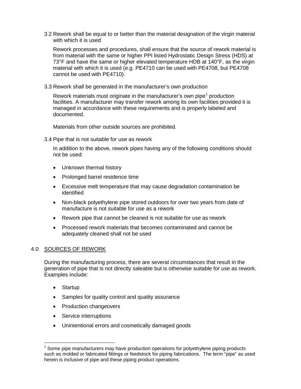3.2 Rework shall be equal to or better than the material designation of the virgin material with which it is used

Rework processes and procedures, shall ensure that the source of rework material is from material with the same or higher PPI listed Hydrostatic Design Stress (HDS) at 73°F and have the same or higher elevated temperature HDB at 140°F, as the virgin material with which it is used (e.g. PE4710 can be used with PE4708, but PE4708 cannot be used with PE4710).

3.3 Rework shall be generated in the manufacturer's own production

Rework materials must originate in the manufacturer's own pipe<sup>[1](#page-3-0)</sup> production facilities. A manufacturer may transfer rework among its own facilities provided it is managed in accordance with these requirements and is properly labeled and documented.

Materials from other outside sources are prohibited.

3.4 Pipe that is not suitable for use as rework

In addition to the above, rework pipes having any of the following conditions should not be used:

- Unknown thermal history
- Prolonged barrel residence time
- Excessive melt temperature that may cause degradation contamination be identified
- Non-black polyethylene pipe stored outdoors for over two years from date of manufacture is not suitable for use as a rework
- Rework pipe that cannot be cleaned is not suitable for use as rework
- Processed rework materials that becomes contaminated and cannot be adequately cleaned shall not be used

# 4.0 SOURCES OF REWORK

During the manufacturing process, there are several circumstances that result in the generation of pipe that is not directly saleable but is otherwise suitable for use as rework. Examples include:

• Startup

 $\overline{\phantom{a}}$ 

- Samples for quality control and quality assurance
- Production changeovers
- Service interruptions
- Unintentional errors and cosmetically damaged goods

<span id="page-3-0"></span> $1$  Some pipe manufacturers may have production operations for polyethylene piping products such as molded or fabricated fittings or feedstock for piping fabrications. The term "pipe" as used herein is inclusive of pipe and these piping product operations.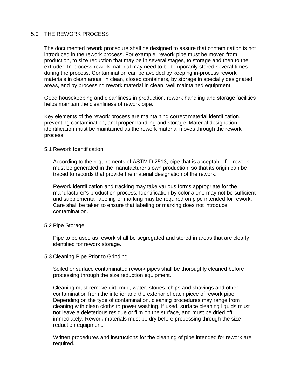# 5.0 THE REWORK PROCESS

The documented rework procedure shall be designed to assure that contamination is not introduced in the rework process. For example, rework pipe must be moved from production, to size reduction that may be in several stages, to storage and then to the extruder. In-process rework material may need to be temporarily stored several times during the process. Contamination can be avoided by keeping in-process rework materials in clean areas, in clean, closed containers, by storage in specially designated areas, and by processing rework material in clean, well maintained equipment.

Good housekeeping and cleanliness in production, rework handling and storage facilities helps maintain the cleanliness of rework pipe.

Key elements of the rework process are maintaining correct material identification, preventing contamination, and proper handling and storage. Material designation identification must be maintained as the rework material moves through the rework process.

## 5.1 Rework Identification

According to the requirements of ASTM D 2513, pipe that is acceptable for rework must be generated in the manufacturer's own production, so that its origin can be traced to records that provide the material designation of the rework.

Rework identification and tracking may take various forms appropriate for the manufacturer's production process. Identification by color alone may not be sufficient and supplemental labeling or marking may be required on pipe intended for rework. Care shall be taken to ensure that labeling or marking does not introduce contamination.

#### 5.2 Pipe Storage

Pipe to be used as rework shall be segregated and stored in areas that are clearly identified for rework storage.

#### 5.3 Cleaning Pipe Prior to Grinding

Soiled or surface contaminated rework pipes shall be thoroughly cleaned before processing through the size reduction equipment.

Cleaning must remove dirt, mud, water, stones, chips and shavings and other contamination from the interior and the exterior of each piece of rework pipe. Depending on the type of contamination, cleaning procedures may range from cleaning with clean cloths to power washing. If used, surface cleaning liquids must not leave a deleterious residue or film on the surface, and must be dried off immediately. Rework materials must be dry before processing through the size reduction equipment.

Written procedures and instructions for the cleaning of pipe intended for rework are required.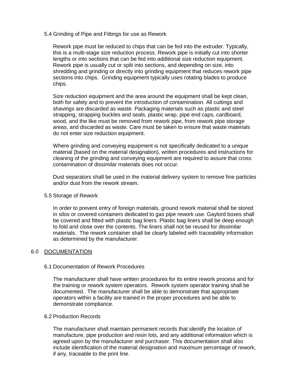5.4 Grinding of Pipe and Fittings for use as Rework

Rework pipe must be reduced to chips that can be fed into the extruder. Typically, this is a multi-stage size reduction process. Rework pipe is initially cut into shorter lengths or into sections that can be fed into additional size reduction equipment. Rework pipe is usually cut or split into sections, and depending on size, into shredding and grinding or directly into grinding equipment that reduces rework pipe sections into chips. Grinding equipment typically uses rotating blades to produce chips.

Size reduction equipment and the area around the equipment shall be kept clean, both for safety and to prevent the introduction of contamination. All cuttings and shavings are discarded as waste. Packaging materials such as plastic and steel strapping, strapping buckles and seals, plastic wrap, pipe end caps, cardboard, wood, and the like must be removed from rework pipe, from rework pipe storage areas, and discarded as waste. Care must be taken to ensure that waste materials do not enter size reduction equipment.

Where grinding and conveying equipment is not specifically dedicated to a unique material (based on the material designation), written procedures and instructions for cleaning of the grinding and conveying equipment are required to assure that cross contamination of dissimilar materials does not occur.

Dust separators shall be used in the material delivery system to remove fine particles and/or dust from the rework stream.

### 5.5 Storage of Rework

In order to prevent entry of foreign materials, ground rework material shall be stored in silos or covered containers dedicated to gas pipe rework use. Gaylord boxes shall be covered and fitted with plastic bag liners. Plastic bag liners shall be deep enough to fold and close over the contents. The liners shall not be reused for dissimilar materials. The rework container shall be clearly labeled with traceability information as determined by the manufacturer.

#### 6.0 DOCUMENTATION

#### 6.1 Documentation of Rework Procedures

The manufacturer shall have written procedures for its entire rework process and for the training or rework system operators. Rework system operator training shall be documented. The manufacturer shall be able to demonstrate that appropriate operators within a facility are trained in the proper procedures and be able to demonstrate compliance.

#### 6.2 Production Records

The manufacturer shall maintain permanent records that identify the location of manufacture, pipe production and resin lots, and any additional information which is agreed upon by the manufacturer and purchaser. This documentation shall also include identification of the material designation and maximum percentage of rework, if any, traceable to the print line.